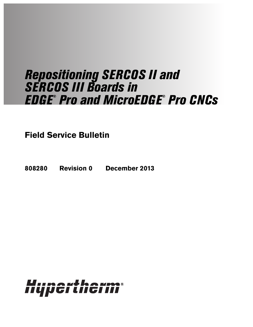# Repositioning SERCOS II and SERCOS in **Pro and MicroEDGE® Pro CNCs**

**Field Service Bulletin**

**808280 Revision 0 December 2013**

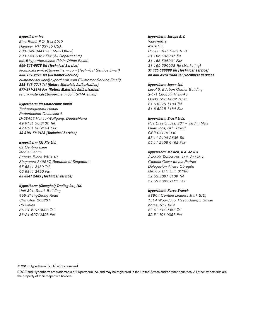Hypertherm Inc. Etna Road, P.O. Box 5010 Hanover, NH 03755 USA 603-643-3441 Tel (Main Office) 603-643-5352 Fax (All Departments) info@hypertherm.com (Main Office Email) 800-643-9878 Tel (Technical Service) technical.service@hypertherm.com (Technical Service Email)

800-737-2978 Tel (Customer Service) customer.service@hypertherm.com (Customer Service Email) 866-643-7711 Tel (Return Materials Authorization) 877-371-2876 Fax (Return Materials Authorization) return.materials@hypertherm.com (RMA email)

#### Hypertherm Plasmatechnik GmbH

Technologiepark Hanau Rodenbacher Chaussee 6 D-63457 Hanau-Wolfgang, Deutschland 49 6181 58 2100 Tel 49 6181 58 2134 Fax 49 6181 58 2123 (Technical Service)

#### Hypertherm (S) Pte Ltd.

82 Genting Lane Media Centre Annexe Block #A01-01 Singapore 349567, Republic of Singapore 65 6841 2489 Tel 65 6841 2490 Fax 65 6841 2489 (Technical Service)

#### Hypertherm (Shanghai) Trading Co., Ltd.

Unit 301, South Building 495 ShangZhong Road Shanghai, 200231 PR China 86-21-60740003 Tel 86-21-60740393 Fax

#### Hypertherm Europe B.V.

Vaartveld 9 4704 SE Roosendaal, Nederland 31 165 596907 Tel 31 165 596901 Fax 31 165 596908 Tel (Marketing) 31 165 596900 Tel (Technical Service) 00 800 4973 7843 Tel (Technical Service)

#### Hypertherm Japan Ltd.

Level 9, Edobori Center Building 2-1-1 Edobori, Nishi-ku Osaka 550-0002 Japan 81 6 6225 1183 Tel 81 6 6225 1184 Fax

#### Hypertherm Brasil Ltda.

Rua Bras Cubas, 231 – Jardim Maia Guarulhos, SP - Brasil CEP 07115-030 55 11 2409 2636 Tel 55 11 2408 0462 Fax

#### Hypertherm México, S.A. de C.V.

Avenida Toluca No. 444, Anexo 1, Colonia Olivar de los Padres Delegación Álvaro Obregón México, D.F. C.P. 01780 52 55 5681 8109 Tel 52 55 5683 2127 Fax

#### Hypertherm Korea Branch

#3904 Centum Leaders Mark B/D, 1514 Woo-dong, Haeundae-gu, Busan Korea, 612-889 82 51 747 0358 Tel 82 51 701 0358 Fax

© 2013 Hypertherm Inc. All rights reserved.

EDGE and Hypertherm are trademarks of Hypertherm Inc. and may be registered in the United States and/or other countries. All other trademarks are the property of their respective holders.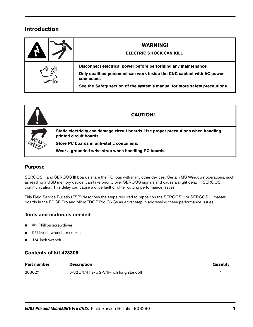# **Introduction**

| <b>WARNING!</b><br><b>ELECTRIC SHOCK CAN KILL</b>                                                                                                                                                                                    |
|--------------------------------------------------------------------------------------------------------------------------------------------------------------------------------------------------------------------------------------|
| Disconnect electrical power before performing any maintenance.<br>Only qualified personnel can work inside the CNC cabinet with AC power<br>connected.<br>See the Safety section of the system's manual for more safety precautions. |

| V | <b>CAUTION!</b>                                                                                                                                             |
|---|-------------------------------------------------------------------------------------------------------------------------------------------------------------|
|   | Static electricity can damage circuit boards. Use proper precautions when handling<br>printed circuit boards.<br>Store PC boards in anti-static containers. |
|   | Wear a grounded wrist strap when handling PC boards.                                                                                                        |

# **Purpose**

SERCOS II and SERCOS III boards share the PCI bus with many other devices. Certain MS Windows operations, such as reading a USB memory device, can take priority over SERCOS signals and cause a slight delay in SERCOS communication. This delay can cause a drive fault or other cutting performance issues.

This Field Service Bulletin (FSB) describes the steps required to reposition the SERCOS II or SERCOS III master boards in the EDGE Pro and MicroEDGE Pro CNCs as a first step in addressing these performance issues.

# **Tools and materials needed**

- #1 Phillips screwdriver
- 5/16-inch wrench or socket
- $1/4$ -inch wrench

## **Contents of kit 428305**

| <b>Part number</b> | <b>Description</b>                               | Quantity |
|--------------------|--------------------------------------------------|----------|
| 208027             | $6-32 \times 1/4$ hex x 2-3/8-inch long standoff |          |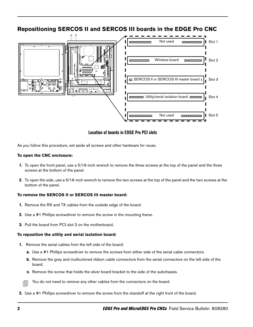# **Repositioning SERCOS II and SERCOS III boards in the EDGE Pro CNC**



#### **Location of boards in EDGE Pro PCI slots**

As you follow this procedure, set aside all screws and other hardware for reuse.

#### **To open the CNC enclosure:**

- 1. To open the front panel, use a 5/16-inch wrench to remove the three screws at the top of the panel and the three screws at the bottom of the panel.
- 2. To open the side, use a 5/16-inch wrench to remove the two screws at the top of the panel and the two screws at the bottom of the panel.

#### **To remove the SERCOS II or SERCOS III master board:**

- 1. Remove the RX and TX cables from the outside edge of the board.
- 2. Use a #1 Phillips screwdriver to remove the screw in the mounting frame.
- 3. Pull the board from PCI slot 3 on the motherboard.

#### **To reposition the utility and serial isolation board:**

- 1. Remove the serial cables from the left side of the board:
	- a. Use a #1 Phillips screwdriver to remove the screws from either side of the serial cable connectors.
	- b. Remove the grey and multicolored ribbon cable connectors from the serial connectors on the left side of the board.
	- c. Remove the screw that holds the silver board bracket to the side of the subchassis.

You do not need to remove any other cables from the connectors on the board.

2. Use a #1 Phillips screwdriver to remove the screw from the standoff at the right front of the board.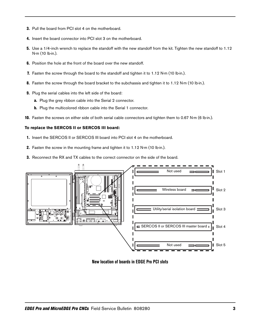- 3. Pull the board from PCI slot 4 on the motherboard.
- 4. Insert the board connector into PCI slot 3 on the motherboard.
- 5. Use a 1/4-inch wrench to replace the standoff with the new standoff from the kit. Tighten the new standoff to 1.12 N·m (10 lb·in.).
- **6.** Position the hole at the front of the board over the new standoff.
- 7. Fasten the screw through the board to the standoff and tighten it to 1.12 N·m (10 lb·in.).
- 8. Fasten the screw through the board bracket to the subchassis and tighten it to 1.12 N·m (10 lb·in.).
- 9. Plug the serial cables into the left side of the board:
	- a. Plug the grey ribbon cable into the Serial 2 connector.
	- **b.** Plug the multicolored ribbon cable into the Serial 1 connector.
- 10. Fasten the screws on either side of both serial cable connectors and tighten them to 0.67 N·m (6 lb·in.).

#### **To replace the SERCOS II or SERCOS III board:**

- 1. Insert the SERCOS II or SERCOS III board into PCI slot 4 on the motherboard.
- 2. Fasten the screw in the mounting frame and tighten it to 1.12 N·m (10 lb·in.).
- 3. Reconnect the RX and TX cables to the correct connector on the side of the board.



**New location of boards in EDGE Pro PCI slots**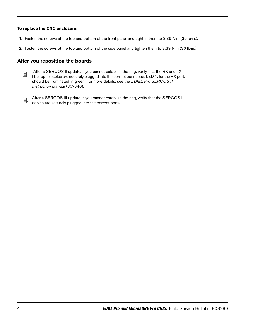#### **To replace the CNC enclosure:**

- 1. Fasten the screws at the top and bottom of the front panel and tighten them to 3.39 N·m (30 lb·in.).
- 2. Fasten the screws at the top and bottom of the side panel and tighten them to 3.39 N·m (30 lb·in.).

## **After you reposition the boards**

| --                       |  |
|--------------------------|--|
| -                        |  |
| $\overline{\phantom{a}}$ |  |

After a SERCOS II update, if you cannot establish the ring, verify that the RX and TX fiber optic cables are securely plugged into the correct connector LED 1, for the RX por fiber optic cables are securely plugged into the correct connector. LED 1, for the RX port, should be illuminated in green. For more details, see the EDGE Pro SERCOS II Instruction Manual (807640).

**After a SERCOS III update, if you cannot establish the ring, verify that the SERCOS III** cables are securely plugged into the correct ports.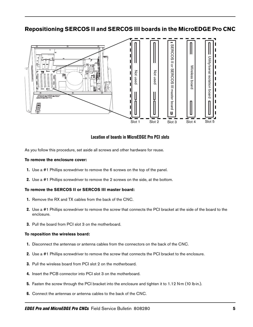# **Repositioning SERCOS II and SERCOS III boards in the MicroEDGE Pro CNC**



#### **Location of boards in MicroEDGE Pro PCI slots**

As you follow this procedure, set aside all screws and other hardware for reuse.

#### **To remove the enclosure cover:**

- 1. Use a #1 Phillips screwdriver to remove the 6 screws on the top of the panel.
- 2. Use a #1 Phillips screwdriver to remove the 2 screws on the side, at the bottom.

#### **To remove the SERCOS II or SERCOS III master board:**

- 1. Remove the RX and TX cables from the back of the CNC.
- 2. Use a #1 Phillips screwdriver to remove the screw that connects the PCI bracket at the side of the board to the enclosure.
- 3. Pull the board from PCI slot 3 on the motherboard.

#### **To reposition the wireless board:**

- 1. Disconnect the antennas or antenna cables from the connectors on the back of the CNC.
- 2. Use a #1 Phillips screwdriver to remove the screw that connects the PCI bracket to the enclosure.
- 3. Pull the wireless board from PCI slot 2 on the motherboard.
- 4. Insert the PCB connector into PCI slot 3 on the motherboard.
- 5. Fasten the screw through the PCI bracket into the enclosure and tighten it to 1.12 N·m (10 lb·in.).
- 6. Connect the antennas or antenna cables to the back of the CNC.